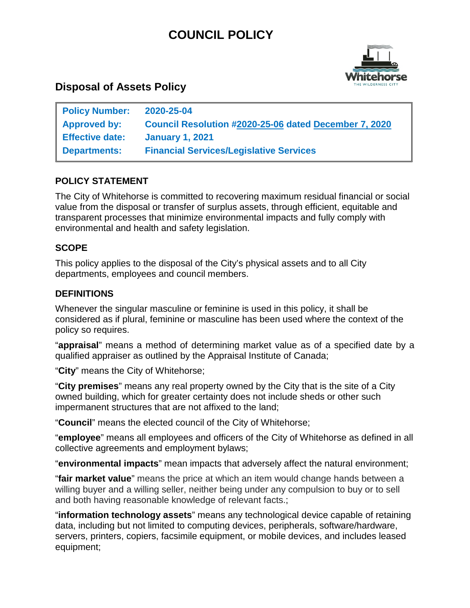# **COUNCIL POLICY**



# **Disposal of Assets Policy**

| <b>Policy Number:</b>  | 2020-25-04                                            |
|------------------------|-------------------------------------------------------|
| <b>Approved by:</b>    | Council Resolution #2020-25-06 dated December 7, 2020 |
| <b>Effective date:</b> | <b>January 1, 2021</b>                                |
| <b>Departments:</b>    | <b>Financial Services/Legislative Services</b>        |

## **POLICY STATEMENT**

The City of Whitehorse is committed to recovering maximum residual financial or social value from the disposal or transfer of surplus assets, through efficient, equitable and transparent processes that minimize environmental impacts and fully comply with environmental and health and safety legislation.

#### **SCOPE**

This policy applies to the disposal of the City's physical assets and to all City departments, employees and council members.

### **DEFINITIONS**

Whenever the singular masculine or feminine is used in this policy, it shall be considered as if plural, feminine or masculine has been used where the context of the policy so requires.

"**appraisal**" means a method of determining market value as of a specified date by a qualified appraiser as outlined by the Appraisal Institute of Canada;

"**City**" means the City of Whitehorse;

"**City premises**" means any real property owned by the City that is the site of a City owned building, which for greater certainty does not include sheds or other such impermanent structures that are not affixed to the land;

"**Council**" means the elected council of the City of Whitehorse;

"**employee**" means all employees and officers of the City of Whitehorse as defined in all collective agreements and employment bylaws;

"**environmental impacts**" mean impacts that adversely affect the natural environment;

"**fair market value**" means the price at which an item would change hands between a willing buyer and a willing seller, neither being under any compulsion to buy or to sell and both having reasonable knowledge of relevant facts.;

"**information technology assets**" means any technological device capable of retaining data, including but not limited to computing devices, peripherals, software/hardware, servers, printers, copiers, facsimile equipment, or mobile devices, and includes leased equipment;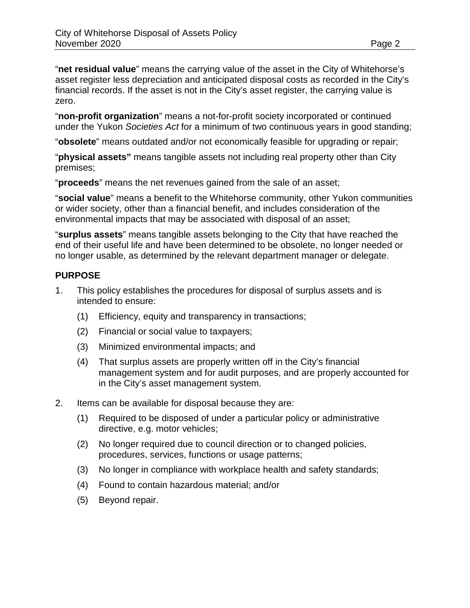"**net residual value**" means the carrying value of the asset in the City of Whitehorse's asset register less depreciation and anticipated disposal costs as recorded in the City's financial records. If the asset is not in the City's asset register, the carrying value is zero.

"**non-profit organization**" means a not-for-profit society incorporated or continued under the Yukon *Societies Act* for a minimum of two continuous years in good standing;

"**obsolete**" means outdated and/or not economically feasible for upgrading or repair;

"**physical assets"** means tangible assets not including real property other than City premises;

"**proceeds**" means the net revenues gained from the sale of an asset;

"**social value**" means a benefit to the Whitehorse community, other Yukon communities or wider society, other than a financial benefit, and includes consideration of the environmental impacts that may be associated with disposal of an asset;

"**surplus assets**" means tangible assets belonging to the City that have reached the end of their useful life and have been determined to be obsolete, no longer needed or no longer usable, as determined by the relevant department manager or delegate.

#### **PURPOSE**

- 1. This policy establishes the procedures for disposal of surplus assets and is intended to ensure:
	- (1) Efficiency, equity and transparency in transactions;
	- (2) Financial or social value to taxpayers;
	- (3) Minimized environmental impacts; and
	- (4) That surplus assets are properly written off in the City's financial management system and for audit purposes, and are properly accounted for in the City's asset management system.
- 2. Items can be available for disposal because they are:
	- (1) Required to be disposed of under a particular policy or administrative directive, e.g. motor vehicles;
	- (2) No longer required due to council direction or to changed policies, procedures, services, functions or usage patterns;
	- (3) No longer in compliance with workplace health and safety standards;
	- (4) Found to contain hazardous material; and/or
	- (5) Beyond repair.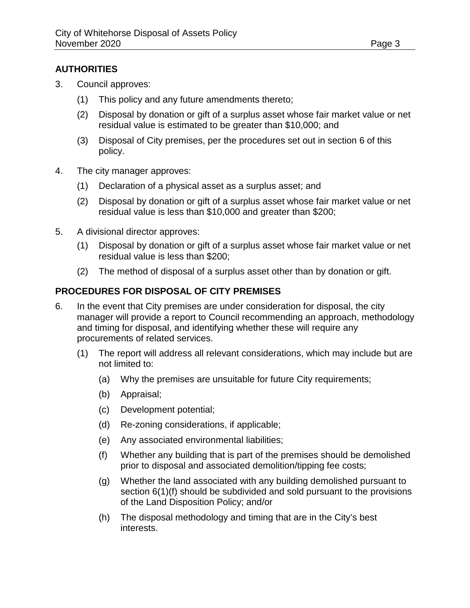#### **AUTHORITIES**

- 3. Council approves:
	- (1) This policy and any future amendments thereto;
	- (2) Disposal by donation or gift of a surplus asset whose fair market value or net residual value is estimated to be greater than \$10,000; and
	- (3) Disposal of City premises, per the procedures set out in section 6 of this policy.
- 4. The city manager approves:
	- (1) Declaration of a physical asset as a surplus asset; and
	- (2) Disposal by donation or gift of a surplus asset whose fair market value or net residual value is less than \$10,000 and greater than \$200;
- 5. A divisional director approves:
	- (1) Disposal by donation or gift of a surplus asset whose fair market value or net residual value is less than \$200;
	- (2) The method of disposal of a surplus asset other than by donation or gift.

#### **PROCEDURES FOR DISPOSAL OF CITY PREMISES**

- 6. In the event that City premises are under consideration for disposal, the city manager will provide a report to Council recommending an approach, methodology and timing for disposal, and identifying whether these will require any procurements of related services.
	- (1) The report will address all relevant considerations, which may include but are not limited to:
		- (a) Why the premises are unsuitable for future City requirements;
		- (b) Appraisal;
		- (c) Development potential;
		- (d) Re-zoning considerations, if applicable;
		- (e) Any associated environmental liabilities;
		- (f) Whether any building that is part of the premises should be demolished prior to disposal and associated demolition/tipping fee costs;
		- (g) Whether the land associated with any building demolished pursuant to section 6(1)(f) should be subdivided and sold pursuant to the provisions of the Land Disposition Policy; and/or
		- (h) The disposal methodology and timing that are in the City's best interests.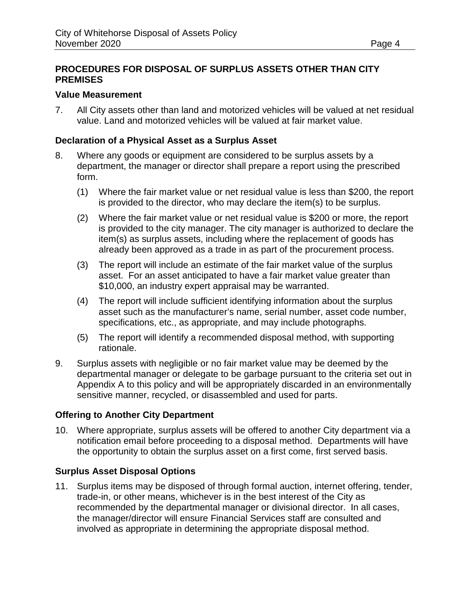#### **PROCEDURES FOR DISPOSAL OF SURPLUS ASSETS OTHER THAN CITY PREMISES**

#### **Value Measurement**

7. All City assets other than land and motorized vehicles will be valued at net residual value. Land and motorized vehicles will be valued at fair market value.

#### **Declaration of a Physical Asset as a Surplus Asset**

- 8. Where any goods or equipment are considered to be surplus assets by a department, the manager or director shall prepare a report using the prescribed form.
	- (1) Where the fair market value or net residual value is less than \$200, the report is provided to the director, who may declare the item(s) to be surplus.
	- (2) Where the fair market value or net residual value is \$200 or more, the report is provided to the city manager. The city manager is authorized to declare the item(s) as surplus assets, including where the replacement of goods has already been approved as a trade in as part of the procurement process.
	- (3) The report will include an estimate of the fair market value of the surplus asset. For an asset anticipated to have a fair market value greater than \$10,000, an industry expert appraisal may be warranted.
	- (4) The report will include sufficient identifying information about the surplus asset such as the manufacturer's name, serial number, asset code number, specifications, etc., as appropriate, and may include photographs.
	- (5) The report will identify a recommended disposal method, with supporting rationale.
- 9. Surplus assets with negligible or no fair market value may be deemed by the departmental manager or delegate to be garbage pursuant to the criteria set out in Appendix A to this policy and will be appropriately discarded in an environmentally sensitive manner, recycled, or disassembled and used for parts.

#### **Offering to Another City Department**

10. Where appropriate, surplus assets will be offered to another City department via a notification email before proceeding to a disposal method. Departments will have the opportunity to obtain the surplus asset on a first come, first served basis.

#### **Surplus Asset Disposal Options**

11. Surplus items may be disposed of through formal auction, internet offering, tender, trade-in, or other means, whichever is in the best interest of the City as recommended by the departmental manager or divisional director. In all cases, the manager/director will ensure Financial Services staff are consulted and involved as appropriate in determining the appropriate disposal method.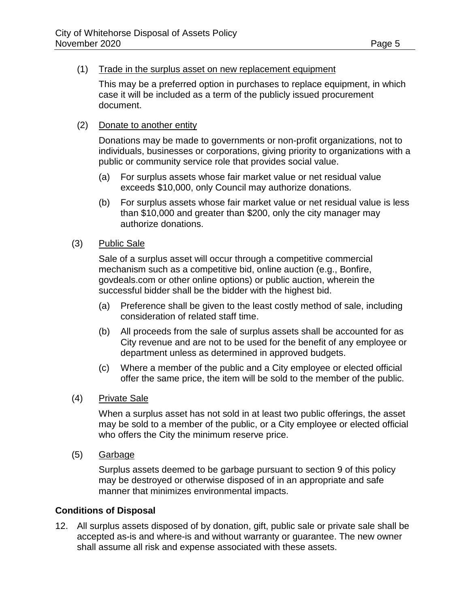#### (1) Trade in the surplus asset on new replacement equipment

This may be a preferred option in purchases to replace equipment, in which case it will be included as a term of the publicly issued procurement document.

#### (2) Donate to another entity

Donations may be made to governments or non-profit organizations, not to individuals, businesses or corporations, giving priority to organizations with a public or community service role that provides social value.

- (a) For surplus assets whose fair market value or net residual value exceeds \$10,000, only Council may authorize donations.
- (b) For surplus assets whose fair market value or net residual value is less than \$10,000 and greater than \$200, only the city manager may authorize donations.
- (3) Public Sale

Sale of a surplus asset will occur through a competitive commercial mechanism such as a competitive bid, online auction (e.g., Bonfire, govdeals.com or other online options) or public auction, wherein the successful bidder shall be the bidder with the highest bid.

- (a) Preference shall be given to the least costly method of sale, including consideration of related staff time.
- (b) All proceeds from the sale of surplus assets shall be accounted for as City revenue and are not to be used for the benefit of any employee or department unless as determined in approved budgets.
- (c) Where a member of the public and a City employee or elected official offer the same price, the item will be sold to the member of the public.
- (4) Private Sale

When a surplus asset has not sold in at least two public offerings, the asset may be sold to a member of the public, or a City employee or elected official who offers the City the minimum reserve price.

(5) Garbage

Surplus assets deemed to be garbage pursuant to section 9 of this policy may be destroyed or otherwise disposed of in an appropriate and safe manner that minimizes environmental impacts.

#### **Conditions of Disposal**

12. All surplus assets disposed of by donation, gift, public sale or private sale shall be accepted as-is and where-is and without warranty or guarantee. The new owner shall assume all risk and expense associated with these assets.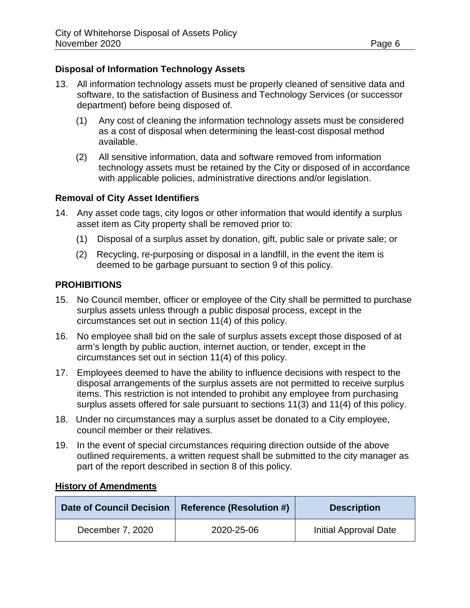#### **Disposal of Information Technology Assets**

- 13. All information technology assets must be properly cleaned of sensitive data and software, to the satisfaction of Business and Technology Services (or successor department) before being disposed of.
	- (1) Any cost of cleaning the information technology assets must be considered as a cost of disposal when determining the least-cost disposal method available.
	- (2) All sensitive information, data and software removed from information technology assets must be retained by the City or disposed of in accordance with applicable policies, administrative directions and/or legislation.

#### **Removal of City Asset Identifiers**

- 14. Any asset code tags, city logos or other information that would identify a surplus asset item as City property shall be removed prior to:
	- (1) Disposal of a surplus asset by donation, gift, public sale or private sale; or
	- (2) Recycling, re-purposing or disposal in a landfill, in the event the item is deemed to be garbage pursuant to section 9 of this policy.

#### **PROHIBITIONS**

- 15. No Council member, officer or employee of the City shall be permitted to purchase surplus assets unless through a public disposal process, except in the circumstances set out in section 11(4) of this policy.
- 16. No employee shall bid on the sale of surplus assets except those disposed of at arm's length by public auction, internet auction, or tender, except in the circumstances set out in section 11(4) of this policy.
- 17. Employees deemed to have the ability to influence decisions with respect to the disposal arrangements of the surplus assets are not permitted to receive surplus items. This restriction is not intended to prohibit any employee from purchasing surplus assets offered for sale pursuant to sections 11(3) and 11(4) of this policy.
- 18. Under no circumstances may a surplus asset be donated to a City employee, council member or their relatives.
- 19. In the event of special circumstances requiring direction outside of the above outlined requirements, a written request shall be submitted to the city manager as part of the report described in section 8 of this policy.

| <b>Date of Council Decision</b> | <b>Reference (Resolution #)</b> | <b>Description</b>    |
|---------------------------------|---------------------------------|-----------------------|
| December 7, 2020                | 2020-25-06                      | Initial Approval Date |

#### **History of Amendments**